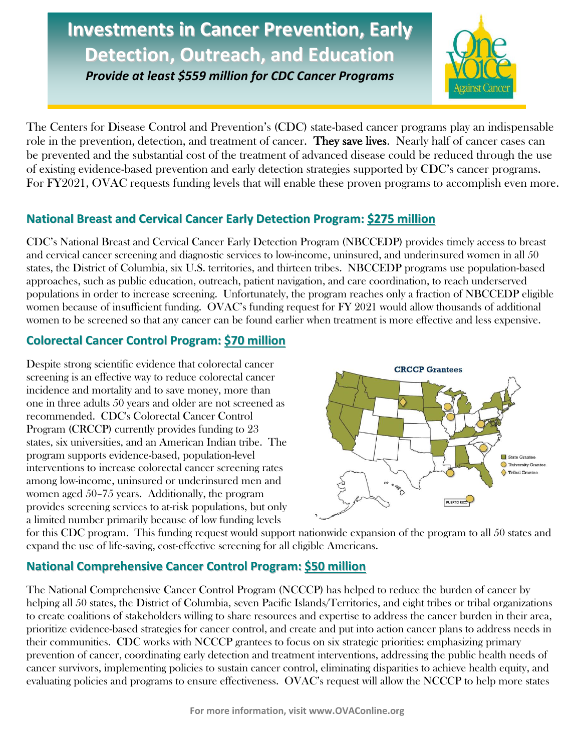# **Investments in Cancer Prevention, Early Detection, Outreach, and Education**

*Provide at least \$559 million for CDC Cancer Programs*



The Centers for Disease Control and Prevention's (CDC) state-based cancer programs play an indispensable role in the prevention, detection, and treatment of cancer. They save lives. Nearly half of cancer cases can be prevented and the substantial cost of the treatment of advanced disease could be reduced through the use of existing evidence-based prevention and early detection strategies supported by CDC's cancer programs. For FY2021, OVAC requests funding levels that will enable these proven programs to accomplish even more.

# **National Breast and Cervical Cancer Early Detection Program: \$275 million**

CDC's National Breast and Cervical Cancer Early Detection Program (NBCCEDP) provides timely access to breast and cervical cancer screening and diagnostic services to low-income, uninsured, and underinsured women in all 50 states, the District of Columbia, six U.S. territories, and thirteen tribes. NBCCEDP programs use population-based approaches, such as public education, outreach, patient navigation, and care coordination, to reach underserved populations in order to increase screening. Unfortunately, the program reaches only a fraction of NBCCEDP eligible women because of insufficient funding. OVAC's funding request for FY 2021 would allow thousands of additional women to be screened so that any cancer can be found earlier when treatment is more effective and less expensive.

# **Colorectal Cancer Control Program: \$70 million**

Despite strong scientific evidence that colorectal cancer screening is an effective way to reduce colorectal cancer incidence and mortality and to save money, more than one in three adults 50 years and older are not screened as recommended. CDC's Colorectal Cancer Control Program (CRCCP) currently provides funding to 23 states, six universities, and an American Indian tribe. The program supports evidence-based, population-level interventions to increase colorectal cancer screening rates among low-income, uninsured or underinsured men and women aged 50–75 years. Additionally, the program provides screening services to at-risk populations, but only a limited number primarily because of low funding levels



for this CDC program. This funding request would support nationwide expansion of the program to all 50 states and expand the use of life-saving, cost-effective screening for all eligible Americans.

# **National Comprehensive Cancer Control Program: \$50 million**

The National Comprehensive Cancer Control Program (NCCCP) has helped to reduce the burden of cancer by helping all 50 states, the District of Columbia, seven Pacific Islands/Territories, and eight tribes or tribal organizations to create coalitions of stakeholders willing to share resources and expertise to address the cancer burden in their area, prioritize evidence-based strategies for cancer control, and create and put into action cancer plans to address needs in their communities. CDC works with NCCCP grantees to focus on six strategic priorities: emphasizing primary prevention of cancer, coordinating early detection and treatment interventions, addressing the public health needs of cancer survivors, implementing policies to sustain cancer control, eliminating disparities to achieve health equity, and evaluating policies and programs to ensure effectiveness. OVAC's request will allow the NCCCP to help more states